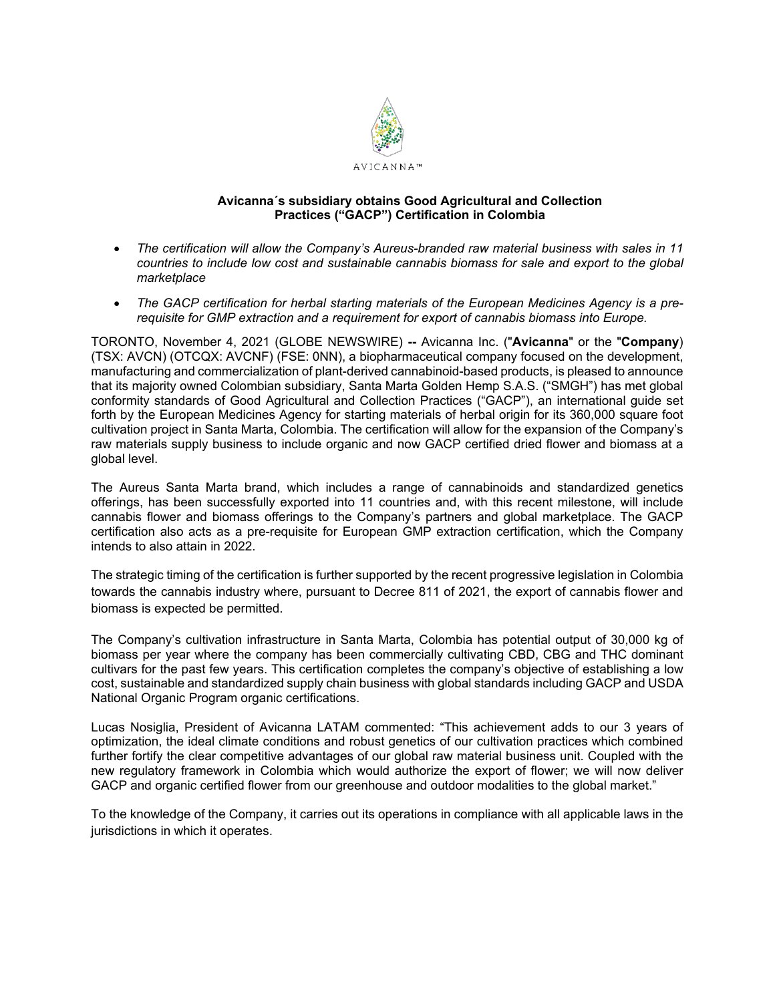

# **Avicanna´s subsidiary obtains Good Agricultural and Collection Practices ("GACP") Certification in Colombia**

- *The certification will allow the Company's Aureus-branded raw material business with sales in 11 countries to include low cost and sustainable cannabis biomass for sale and export to the global marketplace*
- *The GACP certification for herbal starting materials of the European Medicines Agency is a prerequisite for GMP extraction and a requirement for export of cannabis biomass into Europe.*

TORONTO, November 4, 2021 (GLOBE NEWSWIRE) **--** Avicanna Inc. ("**Avicanna**" or the "**Company**) (TSX: AVCN) (OTCQX: AVCNF) (FSE: 0NN), a biopharmaceutical company focused on the development, manufacturing and commercialization of plant-derived cannabinoid-based products, is pleased to announce that its majority owned Colombian subsidiary, Santa Marta Golden Hemp S.A.S. ("SMGH") has met global conformity standards of Good Agricultural and Collection Practices ("GACP"), an international guide set forth by the European Medicines Agency for starting materials of herbal origin for its 360,000 square foot cultivation project in Santa Marta, Colombia. The certification will allow for the expansion of the Company's raw materials supply business to include organic and now GACP certified dried flower and biomass at a global level.

The Aureus Santa Marta brand, which includes a range of cannabinoids and standardized genetics offerings, has been successfully exported into 11 countries and, with this recent milestone, will include cannabis flower and biomass offerings to the Company's partners and global marketplace. The GACP certification also acts as a pre-requisite for European GMP extraction certification, which the Company intends to also attain in 2022.

The strategic timing of the certification is further supported by the recent progressive legislation in Colombia towards the cannabis industry where, pursuant to Decree 811 of 2021, the export of cannabis flower and biomass is expected be permitted.

The Company's cultivation infrastructure in Santa Marta, Colombia has potential output of 30,000 kg of biomass per year where the company has been commercially cultivating CBD, CBG and THC dominant cultivars for the past few years. This certification completes the company's objective of establishing a low cost, sustainable and standardized supply chain business with global standards including GACP and USDA National Organic Program organic certifications.

Lucas Nosiglia, President of Avicanna LATAM commented: "This achievement adds to our 3 years of optimization, the ideal climate conditions and robust genetics of our cultivation practices which combined further fortify the clear competitive advantages of our global raw material business unit. Coupled with the new regulatory framework in Colombia which would authorize the export of flower; we will now deliver GACP and organic certified flower from our greenhouse and outdoor modalities to the global market."

To the knowledge of the Company, it carries out its operations in compliance with all applicable laws in the jurisdictions in which it operates.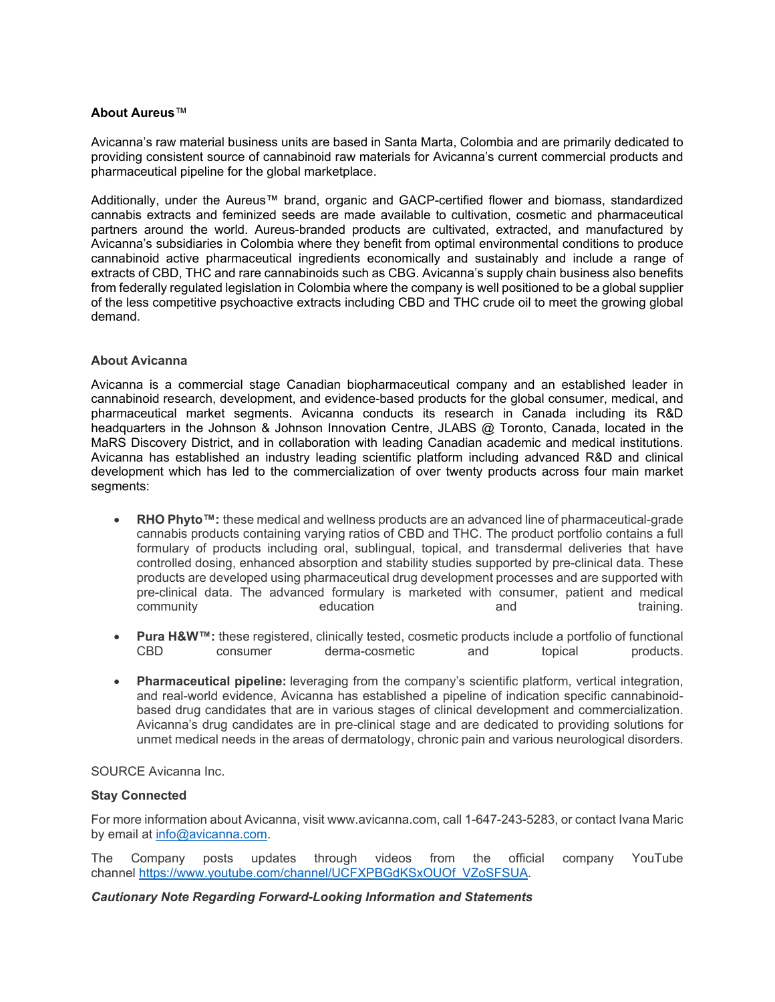### **About Aureus**™

Avicanna's raw material business units are based in Santa Marta, Colombia and are primarily dedicated to providing consistent source of cannabinoid raw materials for Avicanna's current commercial products and pharmaceutical pipeline for the global marketplace.

Additionally, under the Aureus™ brand, organic and GACP-certified flower and biomass, standardized cannabis extracts and feminized seeds are made available to cultivation, cosmetic and pharmaceutical partners around the world. Aureus-branded products are cultivated, extracted, and manufactured by Avicanna's subsidiaries in Colombia where they benefit from optimal environmental conditions to produce cannabinoid active pharmaceutical ingredients economically and sustainably and include a range of extracts of CBD, THC and rare cannabinoids such as CBG. Avicanna's supply chain business also benefits from federally regulated legislation in Colombia where the company is well positioned to be a global supplier of the less competitive psychoactive extracts including CBD and THC crude oil to meet the growing global demand.

#### **About Avicanna**

Avicanna is a commercial stage Canadian biopharmaceutical company and an established leader in cannabinoid research, development, and evidence-based products for the global consumer, medical, and pharmaceutical market segments. Avicanna conducts its research in Canada including its R&D headquarters in the Johnson & Johnson Innovation Centre, JLABS @ Toronto, Canada, located in the MaRS Discovery District, and in collaboration with leading Canadian academic and medical institutions. Avicanna has established an industry leading scientific platform including advanced R&D and clinical development which has led to the commercialization of over twenty products across four main market segments:

- **RHO Phyto™:** these medical and wellness products are an advanced line of pharmaceutical-grade cannabis products containing varying ratios of CBD and THC. The product portfolio contains a full formulary of products including oral, sublingual, topical, and transdermal deliveries that have controlled dosing, enhanced absorption and stability studies supported by pre-clinical data. These products are developed using pharmaceutical drug development processes and are supported with pre-clinical data. The advanced formulary is marketed with consumer, patient and medical community education and training.
- **Pura H&W™:** these registered, clinically tested, cosmetic products include a portfolio of functional CBD consumer derma-cosmetic and topical products.
- **Pharmaceutical pipeline:** leveraging from the company's scientific platform, vertical integration, and real-world evidence, Avicanna has established a pipeline of indication specific cannabinoidbased drug candidates that are in various stages of clinical development and commercialization. Avicanna's drug candidates are in pre-clinical stage and are dedicated to providing solutions for unmet medical needs in the areas of dermatology, chronic pain and various neurological disorders.

### SOURCE Avicanna Inc.

# **Stay Connected**

For more information about Avicanna, visit www.avicanna.com, call 1-647-243-5283, or contact Ivana Maric by email at [info@avicanna.com.](mailto:info@avicanna.com)

The Company posts updates through videos from the official company YouTube channel [https://www.youtube.com/channel/UCFXPBGdKSxOUOf\\_VZoSFSUA.](https://www.youtube.com/channel/UCFXPBGdKSxOUOf_VZoSFSUA)

*Cautionary Note Regarding Forward-Looking Information and Statements*